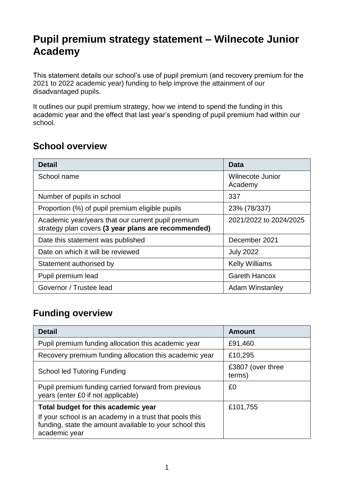# **Pupil premium strategy statement – Wilnecote Junior Academy**

This statement details our school's use of pupil premium (and recovery premium for the 2021 to 2022 academic year) funding to help improve the attainment of our disadvantaged pupils.

It outlines our pupil premium strategy, how we intend to spend the funding in this academic year and the effect that last year's spending of pupil premium had within our school.

#### **School overview**

| <b>Detail</b>                                                                                             | Data                        |
|-----------------------------------------------------------------------------------------------------------|-----------------------------|
| School name                                                                                               | Wilnecote Junior<br>Academy |
| Number of pupils in school                                                                                | 337                         |
| Proportion (%) of pupil premium eligible pupils                                                           | 23% (78/337)                |
| Academic year/years that our current pupil premium<br>strategy plan covers (3 year plans are recommended) | 2021/2022 to 2024/2025      |
| Date this statement was published                                                                         | December 2021               |
| Date on which it will be reviewed                                                                         | <b>July 2022</b>            |
| Statement authorised by                                                                                   | <b>Kelly Williams</b>       |
| Pupil premium lead                                                                                        | <b>Gareth Hancox</b>        |
| Governor / Trustee lead                                                                                   | <b>Adam Winstanley</b>      |

### **Funding overview**

| <b>Detail</b>                                                                                                                       | Amount                      |
|-------------------------------------------------------------------------------------------------------------------------------------|-----------------------------|
| Pupil premium funding allocation this academic year                                                                                 | £91,460                     |
| Recovery premium funding allocation this academic year                                                                              | £10,295                     |
| <b>School led Tutoring Funding</b>                                                                                                  | £3807 (over three<br>terms) |
| Pupil premium funding carried forward from previous<br>years (enter £0 if not applicable)                                           | £0                          |
| Total budget for this academic year                                                                                                 | £101,755                    |
| If your school is an academy in a trust that pools this<br>funding, state the amount available to your school this<br>academic year |                             |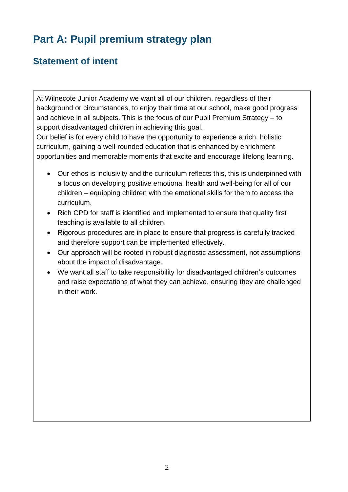# **Part A: Pupil premium strategy plan**

## **Statement of intent**

At Wilnecote Junior Academy we want all of our children, regardless of their background or circumstances, to enjoy their time at our school, make good progress and achieve in all subjects. This is the focus of our Pupil Premium Strategy – to support disadvantaged children in achieving this goal.

Our belief is for every child to have the opportunity to experience a rich, holistic curriculum, gaining a well-rounded education that is enhanced by enrichment opportunities and memorable moments that excite and encourage lifelong learning.

- Our ethos is inclusivity and the curriculum reflects this, this is underpinned with a focus on developing positive emotional health and well-being for all of our children – equipping children with the emotional skills for them to access the curriculum.
- Rich CPD for staff is identified and implemented to ensure that quality first teaching is available to all children.
- Rigorous procedures are in place to ensure that progress is carefully tracked and therefore support can be implemented effectively.
- Our approach will be rooted in robust diagnostic assessment, not assumptions about the impact of disadvantage.
- We want all staff to take responsibility for disadvantaged children's outcomes and raise expectations of what they can achieve, ensuring they are challenged in their work.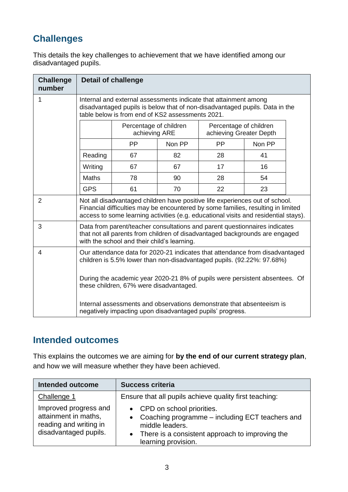# **Challenges**

This details the key challenges to achievement that we have identified among our disadvantaged pupils.

| <b>Challenge</b><br>number | <b>Detail of challenge</b>                                                                                                                                                                                                                              |                                                                                              |        |           |        |  |
|----------------------------|---------------------------------------------------------------------------------------------------------------------------------------------------------------------------------------------------------------------------------------------------------|----------------------------------------------------------------------------------------------|--------|-----------|--------|--|
| 1                          | Internal and external assessments indicate that attainment among<br>disadvantaged pupils is below that of non-disadvantaged pupils. Data in the<br>table below is from end of KS2 assessments 2021.                                                     |                                                                                              |        |           |        |  |
|                            |                                                                                                                                                                                                                                                         | Percentage of children<br>Percentage of children<br>achieving Greater Depth<br>achieving ARE |        |           |        |  |
|                            |                                                                                                                                                                                                                                                         | <b>PP</b>                                                                                    | Non PP | <b>PP</b> | Non PP |  |
|                            | Reading                                                                                                                                                                                                                                                 | 67                                                                                           | 82     | 28        | 41     |  |
|                            | Writing                                                                                                                                                                                                                                                 | 67                                                                                           | 67     | 17        | 16     |  |
|                            | <b>Maths</b>                                                                                                                                                                                                                                            | 78                                                                                           | 90     | 28        | 54     |  |
|                            | <b>GPS</b>                                                                                                                                                                                                                                              | 61                                                                                           | 70     | 22        | 23     |  |
| 2                          | Not all disadvantaged children have positive life experiences out of school.<br>Financial difficulties may be encountered by some families, resulting in limited<br>access to some learning activities (e.g. educational visits and residential stays). |                                                                                              |        |           |        |  |
| 3                          | Data from parent/teacher consultations and parent questionnaires indicates<br>that not all parents from children of disadvantaged backgrounds are engaged<br>with the school and their child's learning.                                                |                                                                                              |        |           |        |  |
| 4                          | Our attendance data for 2020-21 indicates that attendance from disadvantaged<br>children is 5.5% lower than non-disadvantaged pupils. (92.22%: 97.68%)                                                                                                  |                                                                                              |        |           |        |  |
|                            | During the academic year 2020-21 8% of pupils were persistent absentees. Of<br>these children, 67% were disadvantaged.                                                                                                                                  |                                                                                              |        |           |        |  |
|                            | Internal assessments and observations demonstrate that absenteeism is<br>negatively impacting upon disadvantaged pupils' progress.                                                                                                                      |                                                                                              |        |           |        |  |

#### **Intended outcomes**

This explains the outcomes we are aiming for **by the end of our current strategy plan**, and how we will measure whether they have been achieved.

| <b>Intended outcome</b>                                                                          | <b>Success criteria</b>                                                                                                                                                                  |
|--------------------------------------------------------------------------------------------------|------------------------------------------------------------------------------------------------------------------------------------------------------------------------------------------|
| Challenge 1                                                                                      | Ensure that all pupils achieve quality first teaching:                                                                                                                                   |
| Improved progress and<br>attainment in maths,<br>reading and writing in<br>disadvantaged pupils. | • CPD on school priorities.<br>Coaching programme - including ECT teachers and<br>middle leaders.<br>There is a consistent approach to improving the<br>$\bullet$<br>learning provision. |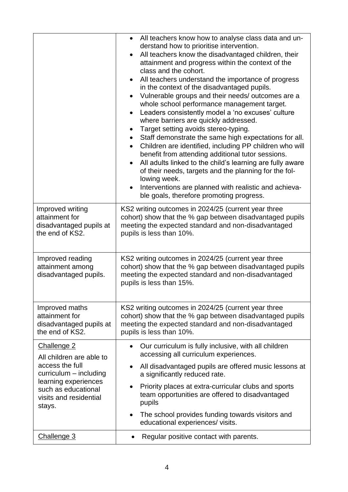|                                                                                  | All teachers know how to analyse class data and un-<br>$\bullet$<br>derstand how to prioritise intervention.<br>All teachers know the disadvantaged children, their<br>$\bullet$<br>attainment and progress within the context of the<br>class and the cohort.<br>All teachers understand the importance of progress<br>$\bullet$<br>in the context of the disadvantaged pupils.<br>Vulnerable groups and their needs/outcomes are a<br>$\bullet$<br>whole school performance management target.<br>Leaders consistently model a 'no excuses' culture<br>$\bullet$<br>where barriers are quickly addressed.<br>Target setting avoids stereo-typing.<br>$\bullet$<br>Staff demonstrate the same high expectations for all.<br>$\bullet$<br>Children are identified, including PP children who will<br>$\bullet$<br>benefit from attending additional tutor sessions.<br>All adults linked to the child's learning are fully aware<br>$\bullet$<br>of their needs, targets and the planning for the fol-<br>lowing week.<br>Interventions are planned with realistic and achieva-<br>$\bullet$<br>ble goals, therefore promoting progress. |
|----------------------------------------------------------------------------------|------------------------------------------------------------------------------------------------------------------------------------------------------------------------------------------------------------------------------------------------------------------------------------------------------------------------------------------------------------------------------------------------------------------------------------------------------------------------------------------------------------------------------------------------------------------------------------------------------------------------------------------------------------------------------------------------------------------------------------------------------------------------------------------------------------------------------------------------------------------------------------------------------------------------------------------------------------------------------------------------------------------------------------------------------------------------------------------------------------------------------------------|
| Improved writing<br>attainment for<br>disadvantaged pupils at<br>the end of KS2. | KS2 writing outcomes in 2024/25 (current year three<br>cohort) show that the % gap between disadvantaged pupils<br>meeting the expected standard and non-disadvantaged<br>pupils is less than 10%.                                                                                                                                                                                                                                                                                                                                                                                                                                                                                                                                                                                                                                                                                                                                                                                                                                                                                                                                       |
| Improved reading<br>attainment among<br>disadvantaged pupils.                    | KS2 writing outcomes in 2024/25 (current year three<br>cohort) show that the % gap between disadvantaged pupils<br>meeting the expected standard and non-disadvantaged<br>pupils is less than 15%.                                                                                                                                                                                                                                                                                                                                                                                                                                                                                                                                                                                                                                                                                                                                                                                                                                                                                                                                       |
| Improved maths<br>attainment for<br>disadvantaged pupils at<br>the end of KS2.   | KS2 writing outcomes in 2024/25 (current year three<br>cohort) show that the % gap between disadvantaged pupils<br>meeting the expected standard and non-disadvantaged<br>pupils is less than 10%.                                                                                                                                                                                                                                                                                                                                                                                                                                                                                                                                                                                                                                                                                                                                                                                                                                                                                                                                       |
| Challenge 2<br>All children are able to                                          | Our curriculum is fully inclusive, with all children<br>$\bullet$<br>accessing all curriculum experiences.                                                                                                                                                                                                                                                                                                                                                                                                                                                                                                                                                                                                                                                                                                                                                                                                                                                                                                                                                                                                                               |
| access the full<br>$curricular - including$                                      | All disadvantaged pupils are offered music lessons at<br>$\bullet$<br>a significantly reduced rate.                                                                                                                                                                                                                                                                                                                                                                                                                                                                                                                                                                                                                                                                                                                                                                                                                                                                                                                                                                                                                                      |
| learning experiences<br>such as educational<br>visits and residential<br>stays.  | Priority places at extra-curricular clubs and sports<br>$\bullet$<br>team opportunities are offered to disadvantaged<br>pupils                                                                                                                                                                                                                                                                                                                                                                                                                                                                                                                                                                                                                                                                                                                                                                                                                                                                                                                                                                                                           |
|                                                                                  | The school provides funding towards visitors and<br>$\bullet$<br>educational experiences/ visits.                                                                                                                                                                                                                                                                                                                                                                                                                                                                                                                                                                                                                                                                                                                                                                                                                                                                                                                                                                                                                                        |
| Challenge 3                                                                      | Regular positive contact with parents.<br>$\bullet$                                                                                                                                                                                                                                                                                                                                                                                                                                                                                                                                                                                                                                                                                                                                                                                                                                                                                                                                                                                                                                                                                      |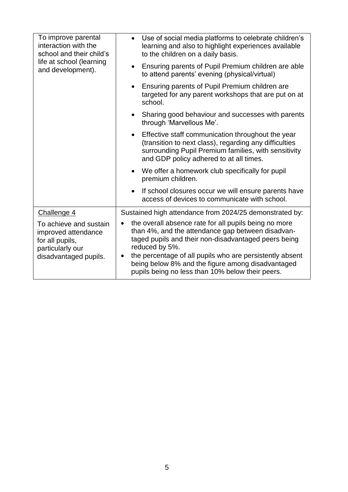| To improve parental<br>interaction with the<br>school and their child's                                       | Use of social media platforms to celebrate children's<br>$\bullet$<br>learning and also to highlight experiences available<br>to the children on a daily basis.                                                                                                                                                                                                        |
|---------------------------------------------------------------------------------------------------------------|------------------------------------------------------------------------------------------------------------------------------------------------------------------------------------------------------------------------------------------------------------------------------------------------------------------------------------------------------------------------|
| life at school (learning<br>and development).                                                                 | Ensuring parents of Pupil Premium children are able<br>$\bullet$<br>to attend parents' evening (physical/virtual)                                                                                                                                                                                                                                                      |
|                                                                                                               | Ensuring parents of Pupil Premium children are<br>targeted for any parent workshops that are put on at<br>school.                                                                                                                                                                                                                                                      |
|                                                                                                               | Sharing good behaviour and successes with parents<br>through 'Marvellous Me'.                                                                                                                                                                                                                                                                                          |
|                                                                                                               | Effective staff communication throughout the year<br>(transition to next class), regarding any difficulties<br>surrounding Pupil Premium families, with sensitivity<br>and GDP policy adhered to at all times.                                                                                                                                                         |
|                                                                                                               | We offer a homework club specifically for pupil<br>premium children.                                                                                                                                                                                                                                                                                                   |
|                                                                                                               | If school closures occur we will ensure parents have<br>access of devices to communicate with school.                                                                                                                                                                                                                                                                  |
| Challenge 4                                                                                                   | Sustained high attendance from 2024/25 demonstrated by:                                                                                                                                                                                                                                                                                                                |
| To achieve and sustain<br>improved attendance<br>for all pupils,<br>particularly our<br>disadvantaged pupils. | the overall absence rate for all pupils being no more<br>than 4%, and the attendance gap between disadvan-<br>taged pupils and their non-disadvantaged peers being<br>reduced by 5%.<br>the percentage of all pupils who are persistently absent<br>$\bullet$<br>being below 8% and the figure among disadvantaged<br>pupils being no less than 10% below their peers. |
|                                                                                                               |                                                                                                                                                                                                                                                                                                                                                                        |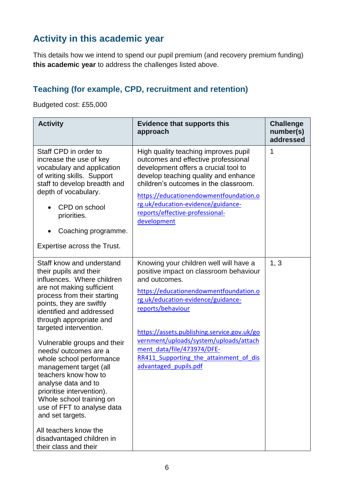## **Activity in this academic year**

This details how we intend to spend our pupil premium (and recovery premium funding) **this academic year** to address the challenges listed above.

### **Teaching (for example, CPD, recruitment and retention)**

Budgeted cost: £55,000

| <b>Activity</b>                                                                                                                                                                                                                                                                                                   | <b>Evidence that supports this</b><br>approach                                                                                                                                                                                                                                                                                         | <b>Challenge</b><br>number(s)<br>addressed |
|-------------------------------------------------------------------------------------------------------------------------------------------------------------------------------------------------------------------------------------------------------------------------------------------------------------------|----------------------------------------------------------------------------------------------------------------------------------------------------------------------------------------------------------------------------------------------------------------------------------------------------------------------------------------|--------------------------------------------|
| Staff CPD in order to<br>increase the use of key<br>vocabulary and application<br>of writing skills. Support<br>staff to develop breadth and<br>depth of vocabulary.<br>CPD on school<br>priorities.<br>Coaching programme.<br>$\bullet$<br>Expertise across the Trust.                                           | High quality teaching improves pupil<br>outcomes and effective professional<br>development offers a crucial tool to<br>develop teaching quality and enhance<br>children's outcomes in the classroom.<br>https://educationendowmentfoundation.o<br>rg.uk/education-evidence/guidance-<br>reports/effective-professional-<br>development | 1                                          |
| Staff know and understand<br>their pupils and their<br>influences. Where children<br>are not making sufficient<br>process from their starting<br>points, they are swiftly<br>identified and addressed<br>through appropriate and<br>targeted intervention.<br>Vulnerable groups and their<br>needs/outcomes are a | Knowing your children well will have a<br>positive impact on classroom behaviour<br>and outcomes.<br>https://educationendowmentfoundation.o<br>rg.uk/education-evidence/guidance-<br>reports/behaviour<br>https://assets.publishing.service.gov.uk/go<br>vernment/uploads/system/uploads/attach<br>ment data/file/473974/DFE-          | 1, 3                                       |
| whole school performance<br>management target (all<br>teachers know how to<br>analyse data and to<br>prioritise intervention).<br>Whole school training on<br>use of FFT to analyse data<br>and set targets.<br>All teachers know the<br>disadvantaged children in<br>their class and their                       | RR411 Supporting the attainment of dis<br>advantaged pupils.pdf                                                                                                                                                                                                                                                                        |                                            |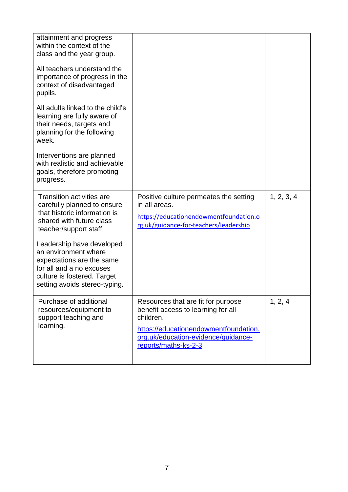| attainment and progress<br>within the context of the<br>class and the year group.<br>All teachers understand the<br>importance of progress in the                          |                                                                                                                                                                                               |            |
|----------------------------------------------------------------------------------------------------------------------------------------------------------------------------|-----------------------------------------------------------------------------------------------------------------------------------------------------------------------------------------------|------------|
| context of disadvantaged<br>pupils.                                                                                                                                        |                                                                                                                                                                                               |            |
| All adults linked to the child's<br>learning are fully aware of<br>their needs, targets and<br>planning for the following<br>week.                                         |                                                                                                                                                                                               |            |
| Interventions are planned<br>with realistic and achievable<br>goals, therefore promoting<br>progress.                                                                      |                                                                                                                                                                                               |            |
| <b>Transition activities are</b><br>carefully planned to ensure<br>that historic information is<br>shared with future class<br>teacher/support staff.                      | Positive culture permeates the setting<br>in all areas.<br>https://educationendowmentfoundation.o<br>rg.uk/guidance-for-teachers/leadership                                                   | 1, 2, 3, 4 |
| Leadership have developed<br>an environment where<br>expectations are the same<br>for all and a no excuses<br>culture is fostered. Target<br>setting avoids stereo-typing. |                                                                                                                                                                                               |            |
| Purchase of additional<br>resources/equipment to<br>support teaching and<br>learning.                                                                                      | Resources that are fit for purpose<br>benefit access to learning for all<br>children.<br>https://educationendowmentfoundation.<br>org.uk/education-evidence/guidance-<br>reports/maths-ks-2-3 | 1, 2, 4    |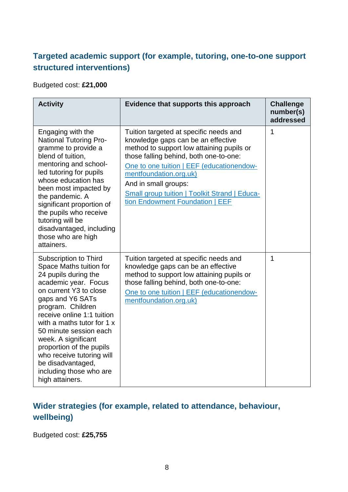#### **Targeted academic support (for example, tutoring, one-to-one support structured interventions)**

Budgeted cost: **£21,000**

| <b>Activity</b>                                                                                                                                                                                                                                                                                                                                                                                              | Evidence that supports this approach                                                                                                                                                                                                                                                                                                                          | <b>Challenge</b><br>number(s)<br>addressed |
|--------------------------------------------------------------------------------------------------------------------------------------------------------------------------------------------------------------------------------------------------------------------------------------------------------------------------------------------------------------------------------------------------------------|---------------------------------------------------------------------------------------------------------------------------------------------------------------------------------------------------------------------------------------------------------------------------------------------------------------------------------------------------------------|--------------------------------------------|
| Engaging with the<br><b>National Tutoring Pro-</b><br>gramme to provide a<br>blend of tuition,<br>mentoring and school-<br>led tutoring for pupils<br>whose education has<br>been most impacted by<br>the pandemic. A<br>significant proportion of<br>the pupils who receive<br>tutoring will be<br>disadvantaged, including<br>those who are high<br>attainers.                                             | Tuition targeted at specific needs and<br>knowledge gaps can be an effective<br>method to support low attaining pupils or<br>those falling behind, both one-to-one:<br>One to one tuition   EEF (educationendow-<br>mentfoundation.org.uk)<br>And in small groups:<br><b>Small group tuition   Toolkit Strand   Educa-</b><br>tion Endowment Foundation   EEF | 1                                          |
| Subscription to Third<br>Space Maths tuition for<br>24 pupils during the<br>academic year. Focus<br>on current Y3 to close<br>gaps and Y6 SATs<br>program. Children<br>receive online 1:1 tuition<br>with a maths tutor for 1 x<br>50 minute session each<br>week. A significant<br>proportion of the pupils<br>who receive tutoring will<br>be disadvantaged,<br>including those who are<br>high attainers. | Tuition targeted at specific needs and<br>knowledge gaps can be an effective<br>method to support low attaining pupils or<br>those falling behind, both one-to-one:<br>One to one tuition   EEF (educationendow-<br>mentfoundation.org.uk)                                                                                                                    | 1                                          |

#### **Wider strategies (for example, related to attendance, behaviour, wellbeing)**

Budgeted cost: **£25,755**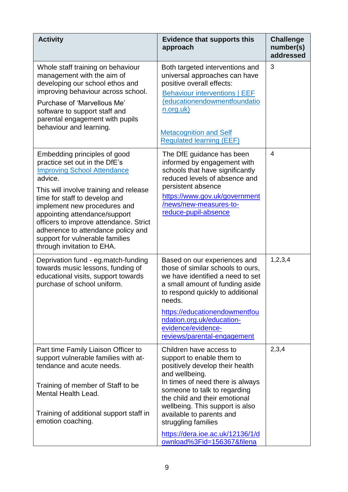| <b>Activity</b>                                                                                                                                                                                                                                                                                                                                                                                             | <b>Evidence that supports this</b><br>approach                                                                                                                                                                                                                                                                                                                         | <b>Challenge</b><br>number(s)<br>addressed |
|-------------------------------------------------------------------------------------------------------------------------------------------------------------------------------------------------------------------------------------------------------------------------------------------------------------------------------------------------------------------------------------------------------------|------------------------------------------------------------------------------------------------------------------------------------------------------------------------------------------------------------------------------------------------------------------------------------------------------------------------------------------------------------------------|--------------------------------------------|
| Whole staff training on behaviour<br>management with the aim of<br>developing our school ethos and<br>improving behaviour across school.<br>Purchase of 'Marvellous Me'<br>software to support staff and<br>parental engagement with pupils<br>behaviour and learning.                                                                                                                                      | Both targeted interventions and<br>universal approaches can have<br>positive overall effects:<br><b>Behaviour interventions   EEF</b><br>(educationendowmentfoundatio<br>n.org.uk)<br><b>Metacognition and Self</b><br><b>Regulated learning (EEF)</b>                                                                                                                 | 3                                          |
| Embedding principles of good<br>practice set out in the DfE's<br><b>Improving School Attendance</b><br>advice.<br>This will involve training and release<br>time for staff to develop and<br>implement new procedures and<br>appointing attendance/support<br>officers to improve attendance. Strict<br>adherence to attendance policy and<br>support for vulnerable families<br>through invitation to EHA. | The DfE guidance has been<br>informed by engagement with<br>schools that have significantly<br>reduced levels of absence and<br>persistent absence<br>https://www.gov.uk/government<br>/news/new-measures-to-<br>reduce-pupil-absence                                                                                                                                  | $\overline{4}$                             |
| Deprivation fund - eg.match-funding<br>towards music lessons, funding of<br>educational visits, support towards<br>purchase of school uniform.                                                                                                                                                                                                                                                              | Based on our experiences and<br>those of similar schools to ours,<br>we have identified a need to set<br>a small amount of funding aside<br>to respond quickly to additional<br>needs.<br>https://educationendowmentfou<br>ndation.org.uk/education-<br>evidence/evidence-<br>reviews/parental-engagement                                                              | 1, 2, 3, 4                                 |
| Part time Family Liaison Officer to<br>support vulnerable families with at-<br>tendance and acute needs.<br>Training of member of Staff to be<br>Mental Health Lead.<br>Training of additional support staff in<br>emotion coaching.                                                                                                                                                                        | Children have access to<br>support to enable them to<br>positively develop their health<br>and wellbeing.<br>In times of need there is always<br>someone to talk to regarding<br>the child and their emotional<br>wellbeing. This support is also<br>available to parents and<br>struggling families<br>https://dera.ioe.ac.uk/12136/1/d<br>ownload%3Fid=156367&filena | 2,3,4                                      |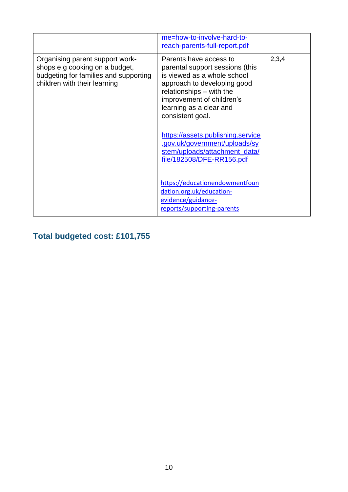|                                                                                                                                            | me=how-to-involve-hard-to-<br>reach-parents-full-report.pdf                                                                                                                                                                                                                                                                                                         |       |
|--------------------------------------------------------------------------------------------------------------------------------------------|---------------------------------------------------------------------------------------------------------------------------------------------------------------------------------------------------------------------------------------------------------------------------------------------------------------------------------------------------------------------|-------|
| Organising parent support work-<br>shops e.g cooking on a budget,<br>budgeting for families and supporting<br>children with their learning | Parents have access to<br>parental support sessions (this<br>is viewed as a whole school<br>approach to developing good<br>relationships - with the<br>improvement of children's<br>learning as a clear and<br>consistent goal.<br>https://assets.publishing.service<br>.gov.uk/government/uploads/sy<br>stem/uploads/attachment_data/<br>file/182508/DFE-RR156.pdf | 2,3,4 |
|                                                                                                                                            | https://educationendowmentfoun<br>dation.org.uk/education-<br>evidence/guidance-<br>reports/supporting-parents                                                                                                                                                                                                                                                      |       |

# **Total budgeted cost: £101,755**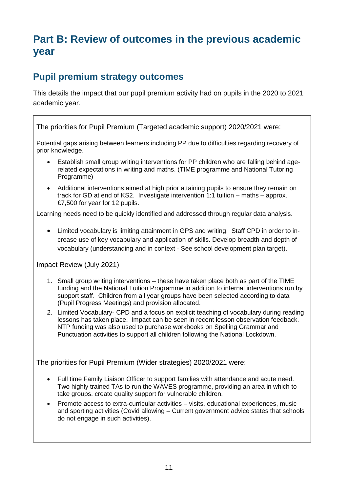# **Part B: Review of outcomes in the previous academic year**

#### **Pupil premium strategy outcomes**

This details the impact that our pupil premium activity had on pupils in the 2020 to 2021 academic year.

The priorities for Pupil Premium (Targeted academic support) 2020/2021 were:

Potential gaps arising between learners including PP due to difficulties regarding recovery of prior knowledge.

- Establish small group writing interventions for PP children who are falling behind agerelated expectations in writing and maths. (TIME programme and National Tutoring Programme)
- Additional interventions aimed at high prior attaining pupils to ensure they remain on track for GD at end of KS2. Investigate intervention 1:1 tuition – maths – approx. £7,500 for year for 12 pupils.

Learning needs need to be quickly identified and addressed through regular data analysis.

 Limited vocabulary is limiting attainment in GPS and writing. Staff CPD in order to increase use of key vocabulary and application of skills. Develop breadth and depth of vocabulary (understanding and in context - See school development plan target).

Impact Review (July 2021)

- 1. Small group writing interventions these have taken place both as part of the TIME funding and the National Tuition Programme in addition to internal interventions run by support staff. Children from all year groups have been selected according to data (Pupil Progress Meetings) and provision allocated.
- 2. Limited Vocabulary- CPD and a focus on explicit teaching of vocabulary during reading lessons has taken place. Impact can be seen in recent lesson observation feedback. NTP funding was also used to purchase workbooks on Spelling Grammar and Punctuation activities to support all children following the National Lockdown.

The priorities for Pupil Premium (Wider strategies) 2020/2021 were:

- Full time Family Liaison Officer to support families with attendance and acute need. Two highly trained TAs to run the WAVES programme, providing an area in which to take groups, create quality support for vulnerable children.
- Promote access to extra-curricular activities visits, educational experiences, music and sporting activities (Covid allowing – Current government advice states that schools do not engage in such activities).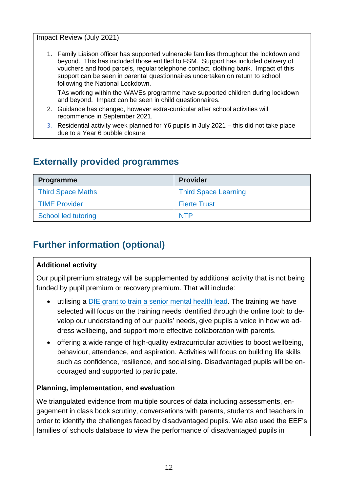Impact Review (July 2021)

1. Family Liaison officer has supported vulnerable families throughout the lockdown and beyond. This has included those entitled to FSM. Support has included delivery of vouchers and food parcels, regular telephone contact, clothing bank. Impact of this support can be seen in parental questionnaires undertaken on return to school following the National Lockdown.

TAs working within the WAVEs programme have supported children during lockdown and beyond. Impact can be seen in child questionnaires.

- 2. Guidance has changed, however extra-curricular after school activities will recommence in September 2021.
- 3. Residential activity week planned for Y6 pupils in July 2021 this did not take place due to a Year 6 bubble closure.

### **Externally provided programmes**

| <b>Programme</b>         | <b>Provider</b>             |
|--------------------------|-----------------------------|
| <b>Third Space Maths</b> | <b>Third Space Learning</b> |
| <b>TIME Provider</b>     | <b>Fierte Trust</b>         |
| School led tutoring      | <b>NTP</b>                  |

## **Further information (optional)**

#### **Additional activity**

Our pupil premium strategy will be supplemented by additional activity that is not being funded by pupil premium or recovery premium. That will include:

- utilising a [DfE grant to train a senior mental health lead.](https://www.gov.uk/guidance/senior-mental-health-lead-training) The training we have selected will focus on the training needs identified through the online tool: to develop our understanding of our pupils' needs, give pupils a voice in how we address wellbeing, and support more effective collaboration with parents.
- offering a wide range of high-quality extracurricular activities to boost wellbeing, behaviour, attendance, and aspiration. Activities will focus on building life skills such as confidence, resilience, and socialising. Disadvantaged pupils will be encouraged and supported to participate.

#### **Planning, implementation, and evaluation**

We triangulated evidence from multiple sources of data including assessments, engagement in class book scrutiny, conversations with parents, students and teachers in order to identify the challenges faced by disadvantaged pupils. We also used the EEF's families of schools database to view the performance of disadvantaged pupils in